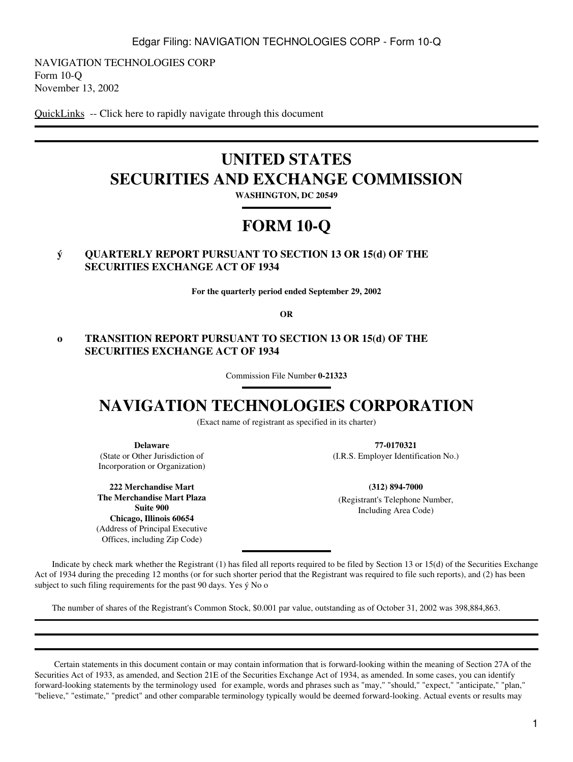NAVIGATION TECHNOLOGIES CORP Form 10-Q November 13, 2002

[QuickLinks](#page-16-0) -- Click here to rapidly navigate through this document

# **UNITED STATES SECURITIES AND EXCHANGE COMMISSION**

**WASHINGTON, DC 20549**

# **FORM 10-Q**

## **ý QUARTERLY REPORT PURSUANT TO SECTION 13 OR 15(d) OF THE SECURITIES EXCHANGE ACT OF 1934**

**For the quarterly period ended September 29, 2002**

**OR**

## **o TRANSITION REPORT PURSUANT TO SECTION 13 OR 15(d) OF THE SECURITIES EXCHANGE ACT OF 1934**

Commission File Number **0-21323**

# **NAVIGATION TECHNOLOGIES CORPORATION**

(Exact name of registrant as specified in its charter)

**Delaware** (State or Other Jurisdiction of Incorporation or Organization)

**222 Merchandise Mart The Merchandise Mart Plaza Suite 900 Chicago, Illinois 60654** (Address of Principal Executive Offices, including Zip Code)

**77-0170321** (I.R.S. Employer Identification No.)

**(312) 894-7000** (Registrant's Telephone Number, Including Area Code)

 Indicate by check mark whether the Registrant (1) has filed all reports required to be filed by Section 13 or 15(d) of the Securities Exchange Act of 1934 during the preceding 12 months (or for such shorter period that the Registrant was required to file such reports), and (2) has been subject to such filing requirements for the past 90 days. Yes ý No o

The number of shares of the Registrant's Common Stock, \$0.001 par value, outstanding as of October 31, 2002 was 398,884,863.

 Certain statements in this document contain or may contain information that is forward-looking within the meaning of Section 27A of the Securities Act of 1933, as amended, and Section 21E of the Securities Exchange Act of 1934, as amended. In some cases, you can identify forward-looking statements by the terminology used for example, words and phrases such as "may," "should," "expect," "anticipate," "plan," "believe," "estimate," "predict" and other comparable terminology typically would be deemed forward-looking. Actual events or results may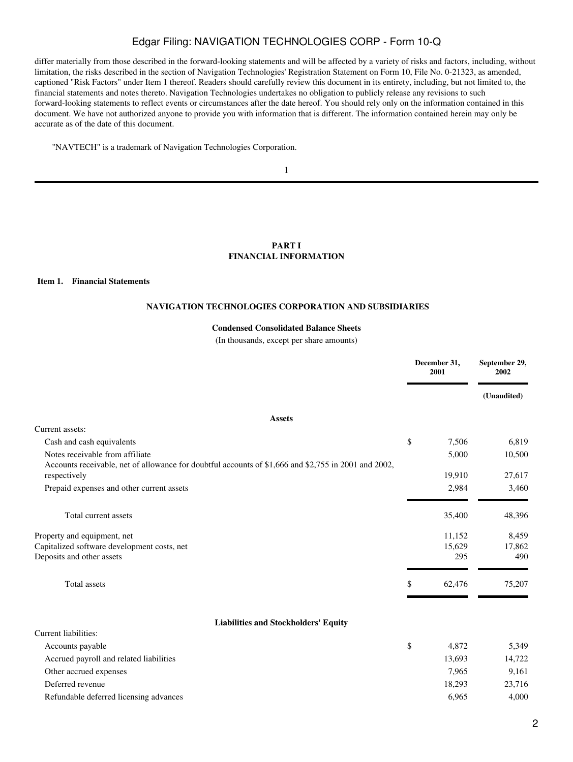differ materially from those described in the forward-looking statements and will be affected by a variety of risks and factors, including, without limitation, the risks described in the section of Navigation Technologies' Registration Statement on Form 10, File No. 0-21323, as amended, captioned "Risk Factors" under Item 1 thereof. Readers should carefully review this document in its entirety, including, but not limited to, the financial statements and notes thereto. Navigation Technologies undertakes no obligation to publicly release any revisions to such forward-looking statements to reflect events or circumstances after the date hereof. You should rely only on the information contained in this document. We have not authorized anyone to provide you with information that is different. The information contained herein may only be accurate as of the date of this document.

"NAVTECH" is a trademark of Navigation Technologies Corporation.

1

### **PART I FINANCIAL INFORMATION**

#### <span id="page-1-2"></span><span id="page-1-1"></span><span id="page-1-0"></span>**Item 1. Financial Statements**

#### **NAVIGATION TECHNOLOGIES CORPORATION AND SUBSIDIARIES**

#### **Condensed Consolidated Balance Sheets**

(In thousands, except per share amounts)

|                                                                                                                      |     | December 31,<br>2001 | September 29,<br>2002 |
|----------------------------------------------------------------------------------------------------------------------|-----|----------------------|-----------------------|
|                                                                                                                      |     |                      | (Unaudited)           |
| <b>Assets</b>                                                                                                        |     |                      |                       |
| Current assets:                                                                                                      |     |                      |                       |
| Cash and cash equivalents                                                                                            | \$  | 7,506                | 6,819                 |
| Notes receivable from affiliate                                                                                      |     | 5,000                | 10,500                |
| Accounts receivable, net of allowance for doubtful accounts of \$1,666 and \$2,755 in 2001 and 2002,<br>respectively |     | 19,910               | 27,617                |
| Prepaid expenses and other current assets                                                                            |     | 2,984                | 3,460                 |
| Total current assets                                                                                                 |     | 35,400               | 48,396                |
| Property and equipment, net                                                                                          |     | 11,152               | 8,459                 |
| Capitalized software development costs, net                                                                          |     | 15,629               | 17,862                |
| Deposits and other assets                                                                                            |     | 295                  | 490                   |
| Total assets                                                                                                         | \$. | 62,476               | 75,207                |
| <b>Liabilities and Stockholders' Equity</b>                                                                          |     |                      |                       |
| Current liabilities:                                                                                                 |     |                      |                       |
| Accounts payable                                                                                                     | \$  | 4,872                | 5,349                 |
| Accrued payroll and related liabilities                                                                              |     | 13,693               | 14,722                |
| Other accrued expenses                                                                                               |     | 7,965                | 9,161                 |
| Deferred revenue                                                                                                     |     | 18,293               | 23,716                |
| Refundable deferred licensing advances                                                                               |     | 6,965                | 4,000                 |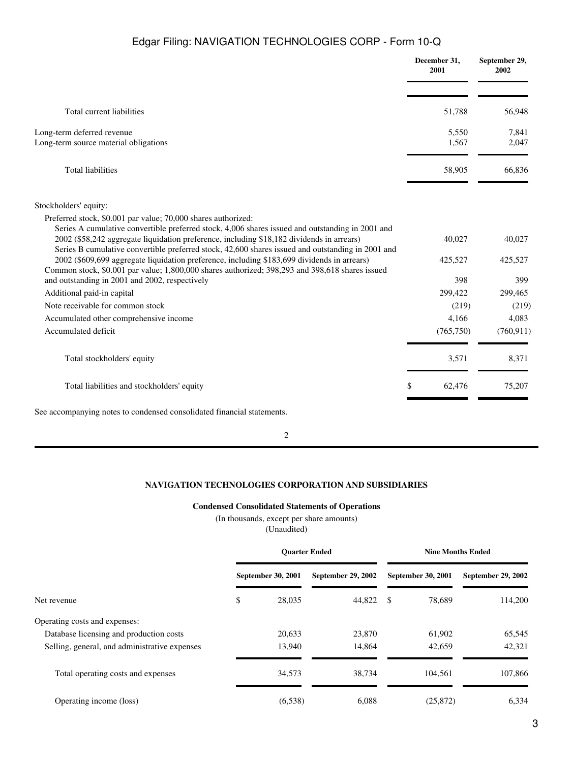|                                                                                                                                                                                                                                                                                                                                                                     | December 31,<br>2001 | September 29,<br>2002 |
|---------------------------------------------------------------------------------------------------------------------------------------------------------------------------------------------------------------------------------------------------------------------------------------------------------------------------------------------------------------------|----------------------|-----------------------|
| Total current liabilities                                                                                                                                                                                                                                                                                                                                           | 51,788               | 56,948                |
| Long-term deferred revenue<br>Long-term source material obligations                                                                                                                                                                                                                                                                                                 | 5,550<br>1,567       | 7,841<br>2,047        |
| <b>Total liabilities</b>                                                                                                                                                                                                                                                                                                                                            | 58,905               | 66,836                |
| Stockholders' equity:                                                                                                                                                                                                                                                                                                                                               |                      |                       |
|                                                                                                                                                                                                                                                                                                                                                                     |                      |                       |
| Preferred stock, \$0.001 par value; 70,000 shares authorized:<br>Series A cumulative convertible preferred stock, 4,006 shares issued and outstanding in 2001 and<br>2002 (\$58,242 aggregate liquidation preference, including \$18,182 dividends in arrears)<br>Series B cumulative convertible preferred stock, 42,600 shares issued and outstanding in 2001 and | 40,027               | 40,027                |
| 2002 (\$609,699 aggregate liquidation preference, including \$183,699 dividends in arrears)<br>Common stock, \$0.001 par value; 1,800,000 shares authorized; 398,293 and 398,618 shares issued                                                                                                                                                                      | 425,527              | 425,527               |
| and outstanding in 2001 and 2002, respectively                                                                                                                                                                                                                                                                                                                      | 398                  | 399                   |
| Additional paid-in capital                                                                                                                                                                                                                                                                                                                                          | 299,422              | 299,465               |
| Note receivable for common stock                                                                                                                                                                                                                                                                                                                                    | (219)                | (219)                 |
| Accumulated other comprehensive income                                                                                                                                                                                                                                                                                                                              | 4,166                | 4,083                 |
| Accumulated deficit                                                                                                                                                                                                                                                                                                                                                 | (765, 750)           | (760, 911)            |
| Total stockholders' equity                                                                                                                                                                                                                                                                                                                                          | 3,571                | 8,371                 |
| Total liabilities and stockholders' equity                                                                                                                                                                                                                                                                                                                          | \$<br>62,476         | 75,207                |
| See accompanying notes to condensed consolidated financial statements.                                                                                                                                                                                                                                                                                              |                      |                       |

2

### **NAVIGATION TECHNOLOGIES CORPORATION AND SUBSIDIARIES**

### **Condensed Consolidated Statements of Operations**

### (In thousands, except per share amounts)

(Unaudited)

<span id="page-2-0"></span>

|                                               | <b>Ouarter Ended</b> |                           | <b>Nine Months Ended</b> |      |                    |                    |
|-----------------------------------------------|----------------------|---------------------------|--------------------------|------|--------------------|--------------------|
|                                               |                      | <b>September 30, 2001</b> | September 29, 2002       |      | September 30, 2001 | September 29, 2002 |
| Net revenue                                   | \$                   | 28,035                    | 44,822                   | - \$ | 78,689             | 114,200            |
| Operating costs and expenses:                 |                      |                           |                          |      |                    |                    |
| Database licensing and production costs       |                      | 20,633                    | 23,870                   |      | 61,902             | 65,545             |
| Selling, general, and administrative expenses |                      | 13,940                    | 14,864                   |      | 42,659             | 42,321             |
| Total operating costs and expenses            |                      | 34,573                    | 38,734                   |      | 104,561            | 107,866            |
| Operating income (loss)                       |                      | (6,538)                   | 6.088                    |      | (25, 872)          | 6.334              |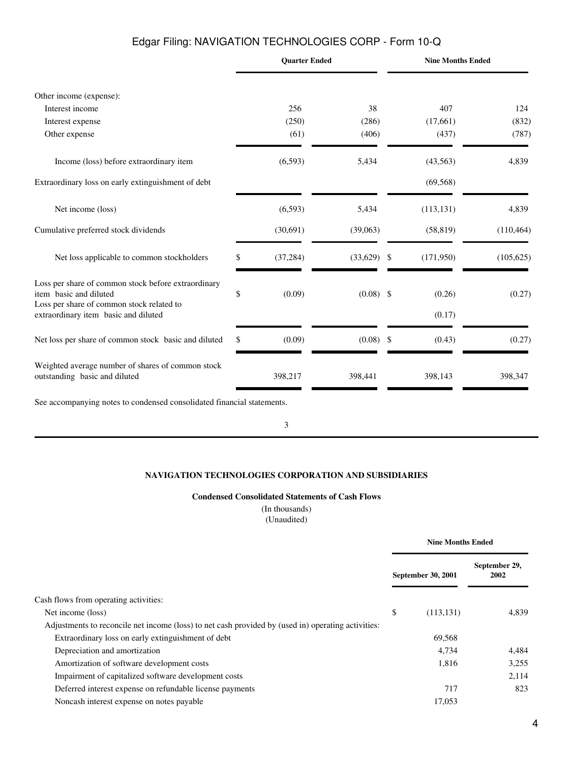|                                                                                                                                                                    |    | <b>Quarter Ended</b> |             |               | <b>Nine Months Ended</b> |            |
|--------------------------------------------------------------------------------------------------------------------------------------------------------------------|----|----------------------|-------------|---------------|--------------------------|------------|
| Other income (expense):                                                                                                                                            |    |                      |             |               |                          |            |
| Interest income                                                                                                                                                    |    | 256                  | 38          |               | 407                      | 124        |
| Interest expense                                                                                                                                                   |    | (250)                | (286)       |               | (17,661)                 | (832)      |
| Other expense                                                                                                                                                      |    | (61)                 | (406)       |               | (437)                    | (787)      |
| Income (loss) before extraordinary item                                                                                                                            |    | (6,593)              | 5,434       |               | (43,563)                 | 4,839      |
| Extraordinary loss on early extinguishment of debt                                                                                                                 |    |                      |             |               | (69, 568)                |            |
| Net income (loss)                                                                                                                                                  |    | (6, 593)             | 5,434       |               | (113, 131)               | 4,839      |
| Cumulative preferred stock dividends                                                                                                                               |    | (30,691)             | (39,063)    |               | (58, 819)                | (110, 464) |
| Net loss applicable to common stockholders                                                                                                                         | \$ | (37, 284)            | (33,629)    | \$            | (171,950)                | (105, 625) |
| Loss per share of common stock before extraordinary<br>item basic and diluted<br>Loss per share of common stock related to<br>extraordinary item basic and diluted | \$ | (0.09)               | $(0.08)$ \$ |               | (0.26)<br>(0.17)         | (0.27)     |
| Net loss per share of common stock basic and diluted                                                                                                               | S  | (0.09)               | (0.08)      | $\mathcal{S}$ | (0.43)                   | (0.27)     |
| Weighted average number of shares of common stock<br>outstanding basic and diluted                                                                                 |    | 398,217              | 398,441     |               | 398,143                  | 398,347    |
| See accompanying notes to condensed consolidated financial statements.                                                                                             |    |                      |             |               |                          |            |

3

### **NAVIGATION TECHNOLOGIES CORPORATION AND SUBSIDIARIES**

### **Condensed Consolidated Statements of Cash Flows**

(In thousands) (Unaudited)

<span id="page-3-0"></span>

|                                                                                                    | <b>Nine Months Ended</b> |                           |                       |
|----------------------------------------------------------------------------------------------------|--------------------------|---------------------------|-----------------------|
|                                                                                                    |                          | <b>September 30, 2001</b> | September 29,<br>2002 |
| Cash flows from operating activities:                                                              |                          |                           |                       |
| Net income (loss)                                                                                  | \$                       | (113, 131)                | 4.839                 |
| Adjustments to reconcile net income (loss) to net cash provided by (used in) operating activities: |                          |                           |                       |
| Extraordinary loss on early extinguishment of debt                                                 |                          | 69,568                    |                       |
| Depreciation and amortization                                                                      |                          | 4,734                     | 4.484                 |
| Amortization of software development costs                                                         |                          | 1,816                     | 3,255                 |
| Impairment of capitalized software development costs                                               |                          |                           | 2,114                 |
| Deferred interest expense on refundable license payments                                           |                          | 717                       | 823                   |
| Noncash interest expense on notes payable                                                          |                          | 17,053                    |                       |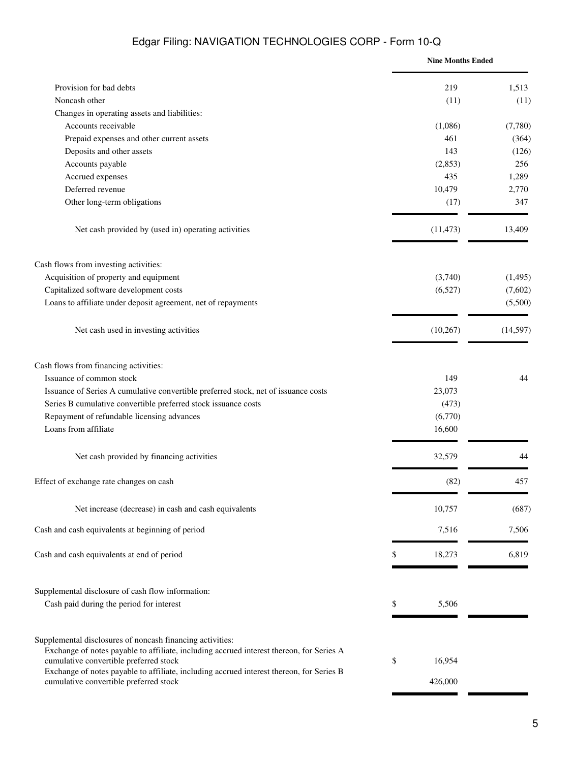|                                                                                                                                                                                                 |    | <b>Nine Months Ended</b> |           |
|-------------------------------------------------------------------------------------------------------------------------------------------------------------------------------------------------|----|--------------------------|-----------|
| Provision for bad debts                                                                                                                                                                         |    | 219                      | 1,513     |
| Noncash other                                                                                                                                                                                   |    | (11)                     | (11)      |
| Changes in operating assets and liabilities:                                                                                                                                                    |    |                          |           |
| Accounts receivable                                                                                                                                                                             |    | (1,086)                  | (7,780)   |
| Prepaid expenses and other current assets                                                                                                                                                       |    | 461                      | (364)     |
| Deposits and other assets                                                                                                                                                                       |    | 143                      | (126)     |
| Accounts payable                                                                                                                                                                                |    | (2,853)                  | 256       |
| Accrued expenses                                                                                                                                                                                |    | 435                      | 1,289     |
| Deferred revenue                                                                                                                                                                                |    | 10,479                   | 2,770     |
| Other long-term obligations                                                                                                                                                                     |    | (17)                     | 347       |
| Net cash provided by (used in) operating activities                                                                                                                                             |    | (11, 473)                | 13,409    |
| Cash flows from investing activities:                                                                                                                                                           |    |                          |           |
| Acquisition of property and equipment                                                                                                                                                           |    | (3,740)                  | (1, 495)  |
| Capitalized software development costs                                                                                                                                                          |    | (6,527)                  | (7,602)   |
| Loans to affiliate under deposit agreement, net of repayments                                                                                                                                   |    |                          | (5,500)   |
| Net cash used in investing activities                                                                                                                                                           |    | (10, 267)                | (14, 597) |
| Cash flows from financing activities:                                                                                                                                                           |    |                          |           |
| Issuance of common stock                                                                                                                                                                        |    | 149                      | 44        |
| Issuance of Series A cumulative convertible preferred stock, net of issuance costs                                                                                                              |    | 23,073                   |           |
| Series B cumulative convertible preferred stock issuance costs                                                                                                                                  |    | (473)                    |           |
| Repayment of refundable licensing advances                                                                                                                                                      |    | (6,770)                  |           |
| Loans from affiliate                                                                                                                                                                            |    | 16,600                   |           |
| Net cash provided by financing activities                                                                                                                                                       |    | 32,579                   | 44        |
| Effect of exchange rate changes on cash                                                                                                                                                         |    | (82)                     | 457       |
| Net increase (decrease) in cash and cash equivalents                                                                                                                                            |    | 10,757                   | (687)     |
| Cash and cash equivalents at beginning of period                                                                                                                                                |    | 7,516                    | 7,506     |
| Cash and cash equivalents at end of period                                                                                                                                                      | S  | 18,273                   | 6,819     |
| Supplemental disclosure of cash flow information:                                                                                                                                               |    |                          |           |
| Cash paid during the period for interest                                                                                                                                                        | \$ | 5,506                    |           |
| Supplemental disclosures of noncash financing activities:<br>Exchange of notes payable to affiliate, including accrued interest thereon, for Series A<br>cumulative convertible preferred stock |    |                          |           |
| Exchange of notes payable to affiliate, including accrued interest thereon, for Series B                                                                                                        | \$ | 16,954                   |           |
| cumulative convertible preferred stock                                                                                                                                                          |    | 426,000                  |           |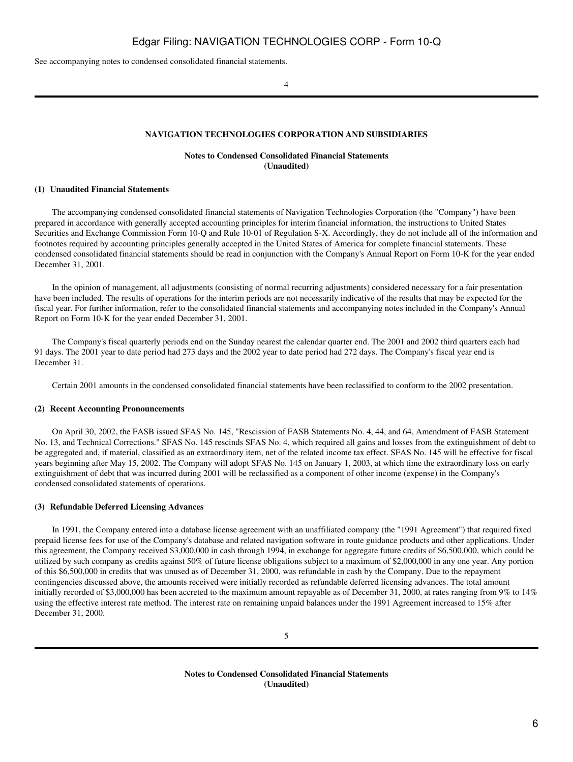<span id="page-5-0"></span>See accompanying notes to condensed consolidated financial statements.

 $\overline{A}$ 

#### **NAVIGATION TECHNOLOGIES CORPORATION AND SUBSIDIARIES**

#### **Notes to Condensed Consolidated Financial Statements (Unaudited)**

#### **(1)Unaudited Financial Statements**

 The accompanying condensed consolidated financial statements of Navigation Technologies Corporation (the "Company") have been prepared in accordance with generally accepted accounting principles for interim financial information, the instructions to United States Securities and Exchange Commission Form 10-Q and Rule 10-01 of Regulation S-X. Accordingly, they do not include all of the information and footnotes required by accounting principles generally accepted in the United States of America for complete financial statements. These condensed consolidated financial statements should be read in conjunction with the Company's Annual Report on Form 10-K for the year ended December 31, 2001.

 In the opinion of management, all adjustments (consisting of normal recurring adjustments) considered necessary for a fair presentation have been included. The results of operations for the interim periods are not necessarily indicative of the results that may be expected for the fiscal year. For further information, refer to the consolidated financial statements and accompanying notes included in the Company's Annual Report on Form 10-K for the year ended December 31, 2001.

 The Company's fiscal quarterly periods end on the Sunday nearest the calendar quarter end. The 2001 and 2002 third quarters each had 91 days. The 2001 year to date period had 273 days and the 2002 year to date period had 272 days. The Company's fiscal year end is December 31.

Certain 2001 amounts in the condensed consolidated financial statements have been reclassified to conform to the 2002 presentation.

#### **(2)Recent Accounting Pronouncements**

 On April 30, 2002, the FASB issued SFAS No. 145, "Rescission of FASB Statements No. 4, 44, and 64, Amendment of FASB Statement No. 13, and Technical Corrections." SFAS No. 145 rescinds SFAS No. 4, which required all gains and losses from the extinguishment of debt to be aggregated and, if material, classified as an extraordinary item, net of the related income tax effect. SFAS No. 145 will be effective for fiscal years beginning after May 15, 2002. The Company will adopt SFAS No. 145 on January 1, 2003, at which time the extraordinary loss on early extinguishment of debt that was incurred during 2001 will be reclassified as a component of other income (expense) in the Company's condensed consolidated statements of operations.

#### **(3)Refundable Deferred Licensing Advances**

 In 1991, the Company entered into a database license agreement with an unaffiliated company (the "1991 Agreement") that required fixed prepaid license fees for use of the Company's database and related navigation software in route guidance products and other applications. Under this agreement, the Company received \$3,000,000 in cash through 1994, in exchange for aggregate future credits of \$6,500,000, which could be utilized by such company as credits against 50% of future license obligations subject to a maximum of \$2,000,000 in any one year. Any portion of this \$6,500,000 in credits that was unused as of December 31, 2000, was refundable in cash by the Company. Due to the repayment contingencies discussed above, the amounts received were initially recorded as refundable deferred licensing advances. The total amount initially recorded of \$3,000,000 has been accreted to the maximum amount repayable as of December 31, 2000, at rates ranging from 9% to 14% using the effective interest rate method. The interest rate on remaining unpaid balances under the 1991 Agreement increased to 15% after December 31, 2000.

**Notes to Condensed Consolidated Financial Statements (Unaudited)**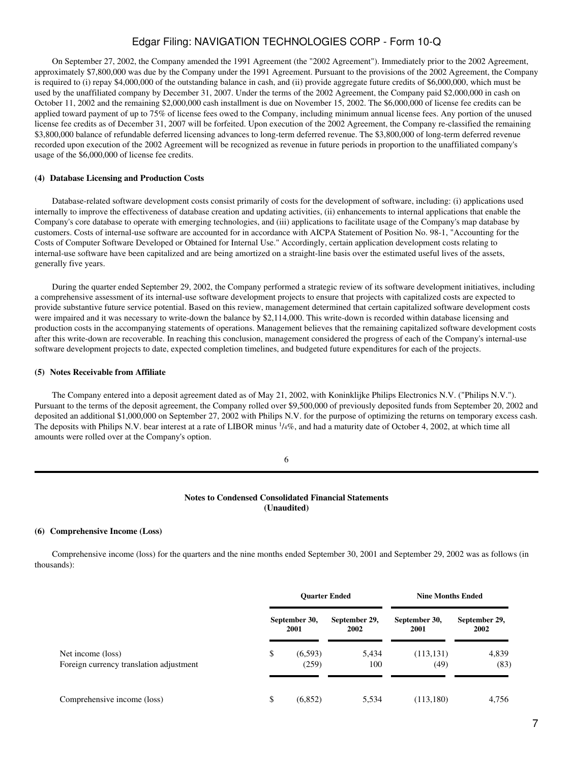On September 27, 2002, the Company amended the 1991 Agreement (the "2002 Agreement"). Immediately prior to the 2002 Agreement, approximately \$7,800,000 was due by the Company under the 1991 Agreement. Pursuant to the provisions of the 2002 Agreement, the Company is required to (i) repay \$4,000,000 of the outstanding balance in cash, and (ii) provide aggregate future credits of \$6,000,000, which must be used by the unaffiliated company by December 31, 2007. Under the terms of the 2002 Agreement, the Company paid \$2,000,000 in cash on October 11, 2002 and the remaining \$2,000,000 cash installment is due on November 15, 2002. The \$6,000,000 of license fee credits can be applied toward payment of up to 75% of license fees owed to the Company, including minimum annual license fees. Any portion of the unused license fee credits as of December 31, 2007 will be forfeited. Upon execution of the 2002 Agreement, the Company re-classified the remaining \$3,800,000 balance of refundable deferred licensing advances to long-term deferred revenue. The \$3,800,000 of long-term deferred revenue recorded upon execution of the 2002 Agreement will be recognized as revenue in future periods in proportion to the unaffiliated company's usage of the \$6,000,000 of license fee credits.

#### (4) Database Licensing and Production Costs

 Database-related software development costs consist primarily of costs for the development of software, including: (i) applications used internally to improve the effectiveness of database creation and updating activities, (ii) enhancements to internal applications that enable the Company's core database to operate with emerging technologies, and (iii) applications to facilitate usage of the Company's map database by customers. Costs of internal-use software are accounted for in accordance with AICPA Statement of Position No. 98-1, "Accounting for the Costs of Computer Software Developed or Obtained for Internal Use." Accordingly, certain application development costs relating to internal-use software have been capitalized and are being amortized on a straight-line basis over the estimated useful lives of the assets, generally five years.

 During the quarter ended September 29, 2002, the Company performed a strategic review of its software development initiatives, including a comprehensive assessment of its internal-use software development projects to ensure that projects with capitalized costs are expected to provide substantive future service potential. Based on this review, management determined that certain capitalized software development costs were impaired and it was necessary to write-down the balance by \$2,114,000. This write-down is recorded within database licensing and production costs in the accompanying statements of operations. Management believes that the remaining capitalized software development costs after this write-down are recoverable. In reaching this conclusion, management considered the progress of each of the Company's internal-use software development projects to date, expected completion timelines, and budgeted future expenditures for each of the projects.

#### **(5) Notes Receivable from Affiliate**

 The Company entered into a deposit agreement dated as of May 21, 2002, with Koninklijke Philips Electronics N.V. ("Philips N.V."). Pursuant to the terms of the deposit agreement, the Company rolled over \$9,500,000 of previously deposited funds from September 20, 2002 and deposited an additional \$1,000,000 on September 27, 2002 with Philips N.V. for the purpose of optimizing the returns on temporary excess cash. The deposits with Philips N.V. bear interest at a rate of LIBOR minus  $\frac{1}{4}\%$ , and had a maturity date of October 4, 2002, at which time all amounts were rolled over at the Company's option.

### **Notes to Condensed Consolidated Financial Statements (Unaudited)**

#### **(6)Comprehensive Income (Loss)**

 Comprehensive income (loss) for the quarters and the nine months ended September 30, 2001 and September 29, 2002 was as follows (in thousands):

|                                                              | <b>Ouarter Ended</b> |                       | <b>Nine Months Ended</b> |                       |                       |
|--------------------------------------------------------------|----------------------|-----------------------|--------------------------|-----------------------|-----------------------|
|                                                              |                      | September 30,<br>2001 | September 29,<br>2002    | September 30,<br>2001 | September 29,<br>2002 |
| Net income (loss)<br>Foreign currency translation adjustment | \$                   | (6, 593)<br>(259)     | 5,434<br>100             | (113, 131)<br>(49)    | 4,839<br>(83)         |
| Comprehensive income (loss)                                  | \$                   | (6, 852)              | 5,534                    | (113,180)             | 4,756                 |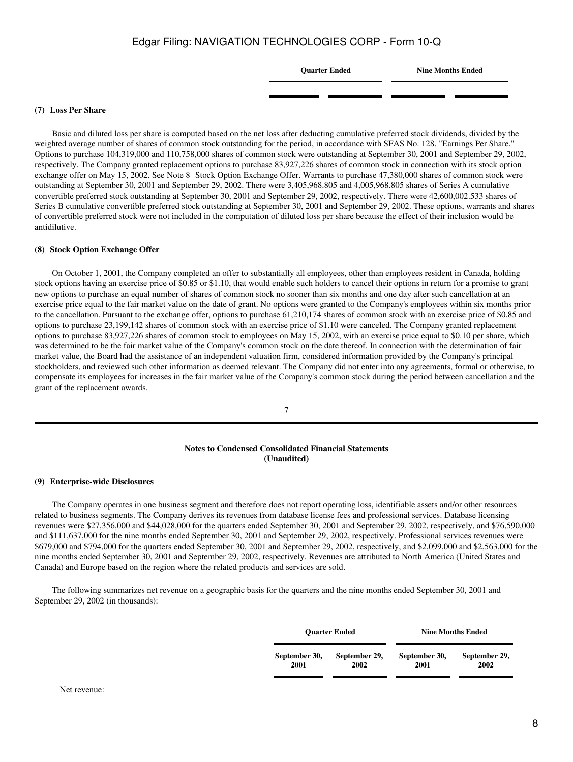**Quarter Ended Nine Months Ended**

#### **(7)Loss Per Share**

 Basic and diluted loss per share is computed based on the net loss after deducting cumulative preferred stock dividends, divided by the weighted average number of shares of common stock outstanding for the period, in accordance with SFAS No. 128, "Earnings Per Share." Options to purchase 104,319,000 and 110,758,000 shares of common stock were outstanding at September 30, 2001 and September 29, 2002, respectively. The Company granted replacement options to purchase 83,927,226 shares of common stock in connection with its stock option exchange offer on May 15, 2002. See Note 8 Stock Option Exchange Offer. Warrants to purchase 47,380,000 shares of common stock were outstanding at September 30, 2001 and September 29, 2002. There were 3,405,968.805 and 4,005,968.805 shares of Series A cumulative convertible preferred stock outstanding at September 30, 2001 and September 29, 2002, respectively. There were 42,600,002.533 shares of Series B cumulative convertible preferred stock outstanding at September 30, 2001 and September 29, 2002. These options, warrants and shares of convertible preferred stock were not included in the computation of diluted loss per share because the effect of their inclusion would be antidilutive.

#### **(8) Stock Option Exchange Offer**

 On October 1, 2001, the Company completed an offer to substantially all employees, other than employees resident in Canada, holding stock options having an exercise price of \$0.85 or \$1.10, that would enable such holders to cancel their options in return for a promise to grant new options to purchase an equal number of shares of common stock no sooner than six months and one day after such cancellation at an exercise price equal to the fair market value on the date of grant. No options were granted to the Company's employees within six months prior to the cancellation. Pursuant to the exchange offer, options to purchase 61,210,174 shares of common stock with an exercise price of \$0.85 and options to purchase 23,199,142 shares of common stock with an exercise price of \$1.10 were canceled. The Company granted replacement options to purchase 83,927,226 shares of common stock to employees on May 15, 2002, with an exercise price equal to \$0.10 per share, which was determined to be the fair market value of the Company's common stock on the date thereof. In connection with the determination of fair market value, the Board had the assistance of an independent valuation firm, considered information provided by the Company's principal stockholders, and reviewed such other information as deemed relevant. The Company did not enter into any agreements, formal or otherwise, to compensate its employees for increases in the fair market value of the Company's common stock during the period between cancellation and the grant of the replacement awards.

7

#### **Notes to Condensed Consolidated Financial Statements (Unaudited)**

#### **(9)Enterprise-wide Disclosures**

 The Company operates in one business segment and therefore does not report operating loss, identifiable assets and/or other resources related to business segments. The Company derives its revenues from database license fees and professional services. Database licensing revenues were \$27,356,000 and \$44,028,000 for the quarters ended September 30, 2001 and September 29, 2002, respectively, and \$76,590,000 and \$111,637,000 for the nine months ended September 30, 2001 and September 29, 2002, respectively. Professional services revenues were \$679,000 and \$794,000 for the quarters ended September 30, 2001 and September 29, 2002, respectively, and \$2,099,000 and \$2,563,000 for the nine months ended September 30, 2001 and September 29, 2002, respectively. Revenues are attributed to North America (United States and Canada) and Europe based on the region where the related products and services are sold.

 The following summarizes net revenue on a geographic basis for the quarters and the nine months ended September 30, 2001 and September 29, 2002 (in thousands):

| <b>Ouarter Ended</b> |               | <b>Nine Months Ended</b> |               |  |  |
|----------------------|---------------|--------------------------|---------------|--|--|
| September 30,        | September 29, | September 30,            | September 29, |  |  |
| 2001                 | 2002          | 2001                     | 2002          |  |  |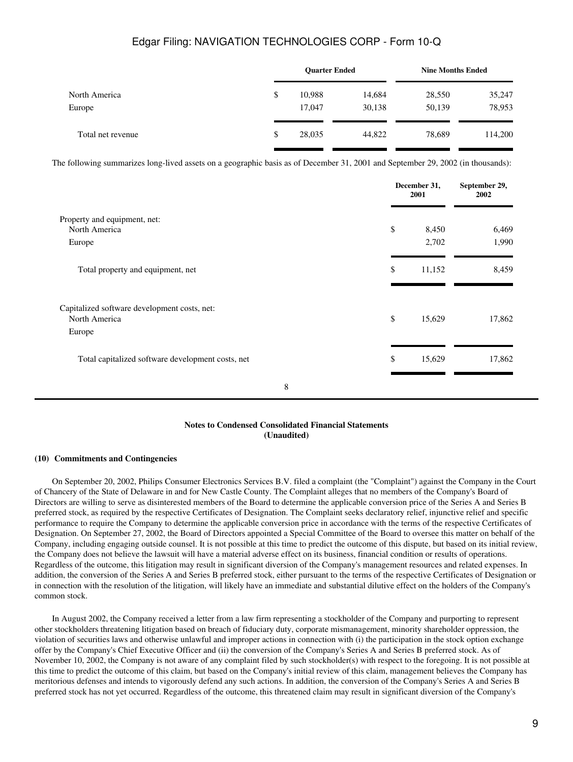|                   | <b>Ouarter Ended</b> |        | <b>Nine Months Ended</b> |         |
|-------------------|----------------------|--------|--------------------------|---------|
| North America     | \$<br>10,988         | 14,684 | 28,550                   | 35,247  |
| Europe            | 17,047               | 30,138 | 50,139                   | 78,953  |
| Total net revenue | \$<br>28,035         | 44,822 | 78,689                   | 114,200 |
|                   |                      |        |                          |         |

The following summarizes long-lived assets on a geographic basis as of December 31, 2001 and September 29, 2002 (in thousands):

|                                                                         | December 31,<br>2001 | September 29,<br>2002 |
|-------------------------------------------------------------------------|----------------------|-----------------------|
| Property and equipment, net:<br>North America<br>Europe                 | \$<br>8,450<br>2,702 | 6,469<br>1,990        |
| Total property and equipment, net                                       | \$<br>11,152         | 8,459                 |
| Capitalized software development costs, net:<br>North America<br>Europe | \$<br>15,629         | 17,862                |
| Total capitalized software development costs, net                       | \$<br>15,629         | 17,862                |
| 8                                                                       |                      |                       |

#### **Notes to Condensed Consolidated Financial Statements (Unaudited)**

#### **(10)Commitments and Contingencies**

 On September 20, 2002, Philips Consumer Electronics Services B.V. filed a complaint (the "Complaint") against the Company in the Court of Chancery of the State of Delaware in and for New Castle County. The Complaint alleges that no members of the Company's Board of Directors are willing to serve as disinterested members of the Board to determine the applicable conversion price of the Series A and Series B preferred stock, as required by the respective Certificates of Designation. The Complaint seeks declaratory relief, injunctive relief and specific performance to require the Company to determine the applicable conversion price in accordance with the terms of the respective Certificates of Designation. On September 27, 2002, the Board of Directors appointed a Special Committee of the Board to oversee this matter on behalf of the Company, including engaging outside counsel. It is not possible at this time to predict the outcome of this dispute, but based on its initial review, the Company does not believe the lawsuit will have a material adverse effect on its business, financial condition or results of operations. Regardless of the outcome, this litigation may result in significant diversion of the Company's management resources and related expenses. In addition, the conversion of the Series A and Series B preferred stock, either pursuant to the terms of the respective Certificates of Designation or in connection with the resolution of the litigation, will likely have an immediate and substantial dilutive effect on the holders of the Company's common stock.

 In August 2002, the Company received a letter from a law firm representing a stockholder of the Company and purporting to represent other stockholders threatening litigation based on breach of fiduciary duty, corporate mismanagement, minority shareholder oppression, the violation of securities laws and otherwise unlawful and improper actions in connection with (i) the participation in the stock option exchange offer by the Company's Chief Executive Officer and (ii) the conversion of the Company's Series A and Series B preferred stock. As of November 10, 2002, the Company is not aware of any complaint filed by such stockholder(s) with respect to the foregoing. It is not possible at this time to predict the outcome of this claim, but based on the Company's initial review of this claim, management believes the Company has meritorious defenses and intends to vigorously defend any such actions. In addition, the conversion of the Company's Series A and Series B preferred stock has not yet occurred. Regardless of the outcome, this threatened claim may result in significant diversion of the Company's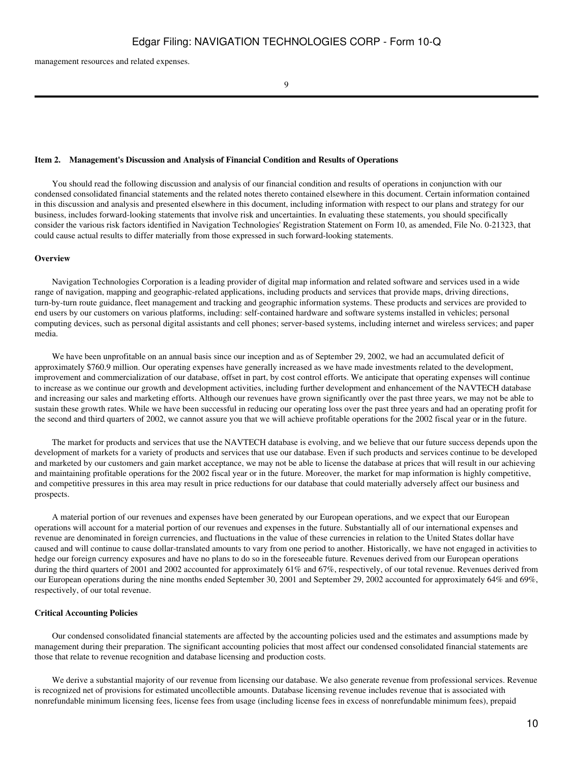management resources and related expenses.

9

#### <span id="page-9-0"></span>**Item 2. Management's Discussion and Analysis of Financial Condition and Results of Operations**

 You should read the following discussion and analysis of our financial condition and results of operations in conjunction with our condensed consolidated financial statements and the related notes thereto contained elsewhere in this document. Certain information contained in this discussion and analysis and presented elsewhere in this document, including information with respect to our plans and strategy for our business, includes forward-looking statements that involve risk and uncertainties. In evaluating these statements, you should specifically consider the various risk factors identified in Navigation Technologies' Registration Statement on Form 10, as amended, File No. 0-21323, that could cause actual results to differ materially from those expressed in such forward-looking statements.

#### **Overview**

 Navigation Technologies Corporation is a leading provider of digital map information and related software and services used in a wide range of navigation, mapping and geographic-related applications, including products and services that provide maps, driving directions, turn-by-turn route guidance, fleet management and tracking and geographic information systems. These products and services are provided to end users by our customers on various platforms, including: self-contained hardware and software systems installed in vehicles; personal computing devices, such as personal digital assistants and cell phones; server-based systems, including internet and wireless services; and paper media.

We have been unprofitable on an annual basis since our inception and as of September 29, 2002, we had an accumulated deficit of approximately \$760.9 million. Our operating expenses have generally increased as we have made investments related to the development, improvement and commercialization of our database, offset in part, by cost control efforts. We anticipate that operating expenses will continue to increase as we continue our growth and development activities, including further development and enhancement of the NAVTECH database and increasing our sales and marketing efforts. Although our revenues have grown significantly over the past three years, we may not be able to sustain these growth rates. While we have been successful in reducing our operating loss over the past three years and had an operating profit for the second and third quarters of 2002, we cannot assure you that we will achieve profitable operations for the 2002 fiscal year or in the future.

 The market for products and services that use the NAVTECH database is evolving, and we believe that our future success depends upon the development of markets for a variety of products and services that use our database. Even if such products and services continue to be developed and marketed by our customers and gain market acceptance, we may not be able to license the database at prices that will result in our achieving and maintaining profitable operations for the 2002 fiscal year or in the future. Moreover, the market for map information is highly competitive, and competitive pressures in this area may result in price reductions for our database that could materially adversely affect our business and prospects.

 A material portion of our revenues and expenses have been generated by our European operations, and we expect that our European operations will account for a material portion of our revenues and expenses in the future. Substantially all of our international expenses and revenue are denominated in foreign currencies, and fluctuations in the value of these currencies in relation to the United States dollar have caused and will continue to cause dollar-translated amounts to vary from one period to another. Historically, we have not engaged in activities to hedge our foreign currency exposures and have no plans to do so in the foreseeable future. Revenues derived from our European operations during the third quarters of 2001 and 2002 accounted for approximately 61% and 67%, respectively, of our total revenue. Revenues derived from our European operations during the nine months ended September 30, 2001 and September 29, 2002 accounted for approximately 64% and 69%, respectively, of our total revenue.

#### **Critical Accounting Policies**

 Our condensed consolidated financial statements are affected by the accounting policies used and the estimates and assumptions made by management during their preparation. The significant accounting policies that most affect our condensed consolidated financial statements are those that relate to revenue recognition and database licensing and production costs.

 We derive a substantial majority of our revenue from licensing our database. We also generate revenue from professional services. Revenue is recognized net of provisions for estimated uncollectible amounts. Database licensing revenue includes revenue that is associated with nonrefundable minimum licensing fees, license fees from usage (including license fees in excess of nonrefundable minimum fees), prepaid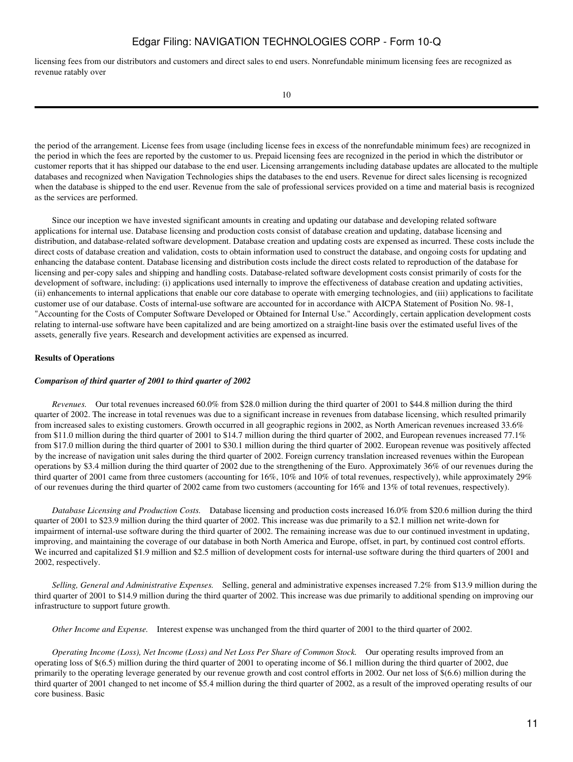licensing fees from our distributors and customers and direct sales to end users. Nonrefundable minimum licensing fees are recognized as revenue ratably over

the period of the arrangement. License fees from usage (including license fees in excess of the nonrefundable minimum fees) are recognized in the period in which the fees are reported by the customer to us. Prepaid licensing fees are recognized in the period in which the distributor or customer reports that it has shipped our database to the end user. Licensing arrangements including database updates are allocated to the multiple databases and recognized when Navigation Technologies ships the databases to the end users. Revenue for direct sales licensing is recognized when the database is shipped to the end user. Revenue from the sale of professional services provided on a time and material basis is recognized as the services are performed.

 Since our inception we have invested significant amounts in creating and updating our database and developing related software applications for internal use. Database licensing and production costs consist of database creation and updating, database licensing and distribution, and database-related software development. Database creation and updating costs are expensed as incurred. These costs include the direct costs of database creation and validation, costs to obtain information used to construct the database, and ongoing costs for updating and enhancing the database content. Database licensing and distribution costs include the direct costs related to reproduction of the database for licensing and per-copy sales and shipping and handling costs. Database-related software development costs consist primarily of costs for the development of software, including: (i) applications used internally to improve the effectiveness of database creation and updating activities, (ii) enhancements to internal applications that enable our core database to operate with emerging technologies, and (iii) applications to facilitate customer use of our database. Costs of internal-use software are accounted for in accordance with AICPA Statement of Position No. 98-1, "Accounting for the Costs of Computer Software Developed or Obtained for Internal Use." Accordingly, certain application development costs relating to internal-use software have been capitalized and are being amortized on a straight-line basis over the estimated useful lives of the assets, generally five years. Research and development activities are expensed as incurred.

#### **Results of Operations**

#### *Comparison of third quarter of 2001 to third quarter of 2002*

 *Revenues.* Our total revenues increased 60.0% from \$28.0 million during the third quarter of 2001 to \$44.8 million during the third quarter of 2002. The increase in total revenues was due to a significant increase in revenues from database licensing, which resulted primarily from increased sales to existing customers. Growth occurred in all geographic regions in 2002, as North American revenues increased 33.6% from \$11.0 million during the third quarter of 2001 to \$14.7 million during the third quarter of 2002, and European revenues increased 77.1% from \$17.0 million during the third quarter of 2001 to \$30.1 million during the third quarter of 2002. European revenue was positively affected by the increase of navigation unit sales during the third quarter of 2002. Foreign currency translation increased revenues within the European operations by \$3.4 million during the third quarter of 2002 due to the strengthening of the Euro. Approximately 36% of our revenues during the third quarter of 2001 came from three customers (accounting for 16%, 10% and 10% of total revenues, respectively), while approximately 29% of our revenues during the third quarter of 2002 came from two customers (accounting for 16% and 13% of total revenues, respectively).

 *Database Licensing and Production Costs.* Database licensing and production costs increased 16.0% from \$20.6 million during the third quarter of 2001 to \$23.9 million during the third quarter of 2002. This increase was due primarily to a \$2.1 million net write-down for impairment of internal-use software during the third quarter of 2002. The remaining increase was due to our continued investment in updating, improving, and maintaining the coverage of our database in both North America and Europe, offset, in part, by continued cost control efforts. We incurred and capitalized \$1.9 million and \$2.5 million of development costs for internal-use software during the third quarters of 2001 and 2002, respectively.

 *Selling, General and Administrative Expenses.* Selling, general and administrative expenses increased 7.2% from \$13.9 million during the third quarter of 2001 to \$14.9 million during the third quarter of 2002. This increase was due primarily to additional spending on improving our infrastructure to support future growth.

 *Other Income and Expense.* Interest expense was unchanged from the third quarter of 2001 to the third quarter of 2002.

 *Operating Income (Loss), Net Income (Loss) and Net Loss Per Share of Common Stock.* Our operating results improved from an operating loss of \$(6.5) million during the third quarter of 2001 to operating income of \$6.1 million during the third quarter of 2002, due primarily to the operating leverage generated by our revenue growth and cost control efforts in 2002. Our net loss of \$(6.6) million during the third quarter of 2001 changed to net income of \$5.4 million during the third quarter of 2002, as a result of the improved operating results of our core business. Basic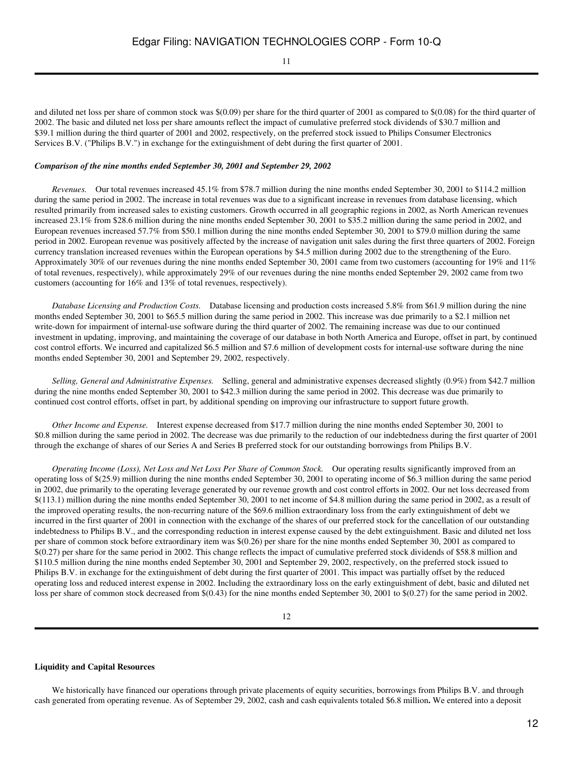11

and diluted net loss per share of common stock was \$(0.09) per share for the third quarter of 2001 as compared to \$(0.08) for the third quarter of 2002. The basic and diluted net loss per share amounts reflect the impact of cumulative preferred stock dividends of \$30.7 million and \$39.1 million during the third quarter of 2001 and 2002, respectively, on the preferred stock issued to Philips Consumer Electronics Services B.V. ("Philips B.V.") in exchange for the extinguishment of debt during the first quarter of 2001.

#### *Comparison of the nine months ended September 30, 2001 and September 29, 2002*

 *Revenues.* Our total revenues increased 45.1% from \$78.7 million during the nine months ended September 30, 2001 to \$114.2 million during the same period in 2002. The increase in total revenues was due to a significant increase in revenues from database licensing, which resulted primarily from increased sales to existing customers. Growth occurred in all geographic regions in 2002, as North American revenues increased 23.1% from \$28.6 million during the nine months ended September 30, 2001 to \$35.2 million during the same period in 2002, and European revenues increased 57.7% from \$50.1 million during the nine months ended September 30, 2001 to \$79.0 million during the same period in 2002. European revenue was positively affected by the increase of navigation unit sales during the first three quarters of 2002. Foreign currency translation increased revenues within the European operations by \$4.5 million during 2002 due to the strengthening of the Euro. Approximately 30% of our revenues during the nine months ended September 30, 2001 came from two customers (accounting for 19% and 11% of total revenues, respectively), while approximately 29% of our revenues during the nine months ended September 29, 2002 came from two customers (accounting for 16% and 13% of total revenues, respectively).

 *Database Licensing and Production Costs.* Database licensing and production costs increased 5.8% from \$61.9 million during the nine months ended September 30, 2001 to \$65.5 million during the same period in 2002. This increase was due primarily to a \$2.1 million net write-down for impairment of internal-use software during the third quarter of 2002. The remaining increase was due to our continued investment in updating, improving, and maintaining the coverage of our database in both North America and Europe, offset in part, by continued cost control efforts. We incurred and capitalized \$6.5 million and \$7.6 million of development costs for internal-use software during the nine months ended September 30, 2001 and September 29, 2002, respectively.

 *Selling, General and Administrative Expenses.* Selling, general and administrative expenses decreased slightly (0.9%) from \$42.7 million during the nine months ended September 30, 2001 to \$42.3 million during the same period in 2002. This decrease was due primarily to continued cost control efforts, offset in part, by additional spending on improving our infrastructure to support future growth.

 *Other Income and Expense.* Interest expense decreased from \$17.7 million during the nine months ended September 30, 2001 to \$0.8 million during the same period in 2002. The decrease was due primarily to the reduction of our indebtedness during the first quarter of 2001 through the exchange of shares of our Series A and Series B preferred stock for our outstanding borrowings from Philips B.V.

 *Operating Income (Loss), Net Loss and Net Loss Per Share of Common Stock.* Our operating results significantly improved from an operating loss of \$(25.9) million during the nine months ended September 30, 2001 to operating income of \$6.3 million during the same period in 2002, due primarily to the operating leverage generated by our revenue growth and cost control efforts in 2002. Our net loss decreased from \$(113.1) million during the nine months ended September 30, 2001 to net income of \$4.8 million during the same period in 2002, as a result of the improved operating results, the non-recurring nature of the \$69.6 million extraordinary loss from the early extinguishment of debt we incurred in the first quarter of 2001 in connection with the exchange of the shares of our preferred stock for the cancellation of our outstanding indebtedness to Philips B.V., and the corresponding reduction in interest expense caused by the debt extinguishment. Basic and diluted net loss per share of common stock before extraordinary item was \$(0.26) per share for the nine months ended September 30, 2001 as compared to \$(0.27) per share for the same period in 2002. This change reflects the impact of cumulative preferred stock dividends of \$58.8 million and \$110.5 million during the nine months ended September 30, 2001 and September 29, 2002, respectively, on the preferred stock issued to Philips B.V. in exchange for the extinguishment of debt during the first quarter of 2001. This impact was partially offset by the reduced operating loss and reduced interest expense in 2002. Including the extraordinary loss on the early extinguishment of debt, basic and diluted net loss per share of common stock decreased from  $$(0.43)$  for the nine months ended September 30, 2001 to  $$(0.27)$  for the same period in 2002.

#### **Liquidity and Capital Resources**

We historically have financed our operations through private placements of equity securities, borrowings from Philips B.V. and through cash generated from operating revenue. As of September 29, 2002, cash and cash equivalents totaled \$6.8 million**.** We entered into a deposit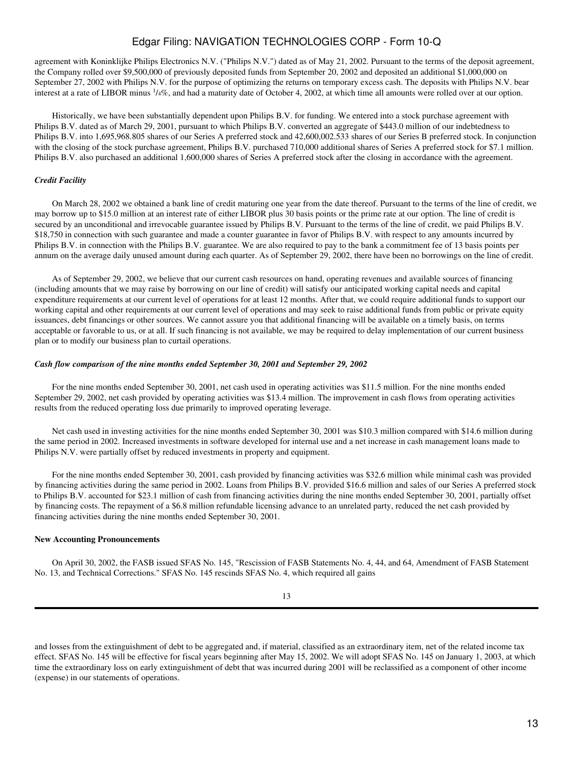agreement with Koninklijke Philips Electronics N.V. ("Philips N.V.") dated as of May 21, 2002. Pursuant to the terms of the deposit agreement, the Company rolled over \$9,500,000 of previously deposited funds from September 20, 2002 and deposited an additional \$1,000,000 on September 27, 2002 with Philips N.V. for the purpose of optimizing the returns on temporary excess cash. The deposits with Philips N.V. bear interest at a rate of LIBOR minus  $1/4\%$ , and had a maturity date of October 4, 2002, at which time all amounts were rolled over at our option.

 Historically, we have been substantially dependent upon Philips B.V. for funding. We entered into a stock purchase agreement with Philips B.V. dated as of March 29, 2001, pursuant to which Philips B.V. converted an aggregate of \$443.0 million of our indebtedness to Philips B.V. into 1,695,968.805 shares of our Series A preferred stock and 42,600,002.533 shares of our Series B preferred stock. In conjunction with the closing of the stock purchase agreement, Philips B.V. purchased 710,000 additional shares of Series A preferred stock for \$7.1 million. Philips B.V. also purchased an additional 1,600,000 shares of Series A preferred stock after the closing in accordance with the agreement.

#### *Credit Facility*

 On March 28, 2002 we obtained a bank line of credit maturing one year from the date thereof. Pursuant to the terms of the line of credit, we may borrow up to \$15.0 million at an interest rate of either LIBOR plus 30 basis points or the prime rate at our option. The line of credit is secured by an unconditional and irrevocable guarantee issued by Philips B.V. Pursuant to the terms of the line of credit, we paid Philips B.V. \$18,750 in connection with such guarantee and made a counter guarantee in favor of Philips B.V. with respect to any amounts incurred by Philips B.V. in connection with the Philips B.V. guarantee. We are also required to pay to the bank a commitment fee of 13 basis points per annum on the average daily unused amount during each quarter. As of September 29, 2002, there have been no borrowings on the line of credit.

 As of September 29, 2002, we believe that our current cash resources on hand, operating revenues and available sources of financing (including amounts that we may raise by borrowing on our line of credit) will satisfy our anticipated working capital needs and capital expenditure requirements at our current level of operations for at least 12 months. After that, we could require additional funds to support our working capital and other requirements at our current level of operations and may seek to raise additional funds from public or private equity issuances, debt financings or other sources. We cannot assure you that additional financing will be available on a timely basis, on terms acceptable or favorable to us, or at all. If such financing is not available, we may be required to delay implementation of our current business plan or to modify our business plan to curtail operations.

#### *Cash flow comparison of the nine months ended September 30, 2001 and September 29, 2002*

 For the nine months ended September 30, 2001, net cash used in operating activities was \$11.5 million. For the nine months ended September 29, 2002, net cash provided by operating activities was \$13.4 million. The improvement in cash flows from operating activities results from the reduced operating loss due primarily to improved operating leverage.

 Net cash used in investing activities for the nine months ended September 30, 2001 was \$10.3 million compared with \$14.6 million during the same period in 2002. Increased investments in software developed for internal use and a net increase in cash management loans made to Philips N.V. were partially offset by reduced investments in property and equipment.

 For the nine months ended September 30, 2001, cash provided by financing activities was \$32.6 million while minimal cash was provided by financing activities during the same period in 2002. Loans from Philips B.V. provided \$16.6 million and sales of our Series A preferred stock to Philips B.V. accounted for \$23.1 million of cash from financing activities during the nine months ended September 30, 2001, partially offset by financing costs. The repayment of a \$6.8 million refundable licensing advance to an unrelated party, reduced the net cash provided by financing activities during the nine months ended September 30, 2001.

#### **New Accounting Pronouncements**

 On April 30, 2002, the FASB issued SFAS No. 145, "Rescission of FASB Statements No. 4, 44, and 64, Amendment of FASB Statement No. 13, and Technical Corrections." SFAS No. 145 rescinds SFAS No. 4, which required all gains

| I | ٠       |
|---|---------|
|   | ۰,      |
|   | v<br>۰. |

and losses from the extinguishment of debt to be aggregated and, if material, classified as an extraordinary item, net of the related income tax effect. SFAS No. 145 will be effective for fiscal years beginning after May 15, 2002. We will adopt SFAS No. 145 on January 1, 2003, at which time the extraordinary loss on early extinguishment of debt that was incurred during 2001 will be reclassified as a component of other income (expense) in our statements of operations.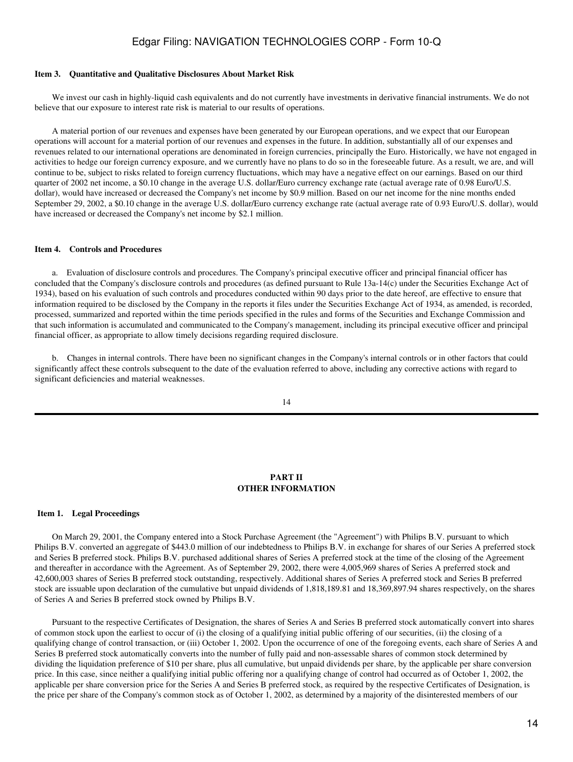#### <span id="page-13-0"></span>**Item 3. Quantitative and Qualitative Disclosures About Market Risk**

We invest our cash in highly-liquid cash equivalents and do not currently have investments in derivative financial instruments. We do not believe that our exposure to interest rate risk is material to our results of operations.

 A material portion of our revenues and expenses have been generated by our European operations, and we expect that our European operations will account for a material portion of our revenues and expenses in the future. In addition, substantially all of our expenses and revenues related to our international operations are denominated in foreign currencies, principally the Euro. Historically, we have not engaged in activities to hedge our foreign currency exposure, and we currently have no plans to do so in the foreseeable future. As a result, we are, and will continue to be, subject to risks related to foreign currency fluctuations, which may have a negative effect on our earnings. Based on our third quarter of 2002 net income, a \$0.10 change in the average U.S. dollar/Euro currency exchange rate (actual average rate of 0.98 Euro/U.S. dollar), would have increased or decreased the Company's net income by \$0.9 million. Based on our net income for the nine months ended September 29, 2002, a \$0.10 change in the average U.S. dollar/Euro currency exchange rate (actual average rate of 0.93 Euro/U.S. dollar), would have increased or decreased the Company's net income by \$2.1 million.

#### <span id="page-13-1"></span>**Item 4. Controls and Procedures**

 a. Evaluation of disclosure controls and procedures. The Company's principal executive officer and principal financial officer has concluded that the Company's disclosure controls and procedures (as defined pursuant to Rule 13a-14(c) under the Securities Exchange Act of 1934), based on his evaluation of such controls and procedures conducted within 90 days prior to the date hereof, are effective to ensure that information required to be disclosed by the Company in the reports it files under the Securities Exchange Act of 1934, as amended, is recorded, processed, summarized and reported within the time periods specified in the rules and forms of the Securities and Exchange Commission and that such information is accumulated and communicated to the Company's management, including its principal executive officer and principal financial officer, as appropriate to allow timely decisions regarding required disclosure.

 b. Changes in internal controls. There have been no significant changes in the Company's internal controls or in other factors that could significantly affect these controls subsequent to the date of the evaluation referred to above, including any corrective actions with regard to significant deficiencies and material weaknesses.

14

#### **PART II OTHER INFORMATION**

#### <span id="page-13-3"></span><span id="page-13-2"></span>**Item 1. Legal Proceedings**

 On March 29, 2001, the Company entered into a Stock Purchase Agreement (the "Agreement") with Philips B.V. pursuant to which Philips B.V. converted an aggregate of \$443.0 million of our indebtedness to Philips B.V. in exchange for shares of our Series A preferred stock and Series B preferred stock. Philips B.V. purchased additional shares of Series A preferred stock at the time of the closing of the Agreement and thereafter in accordance with the Agreement. As of September 29, 2002, there were 4,005,969 shares of Series A preferred stock and 42,600,003 shares of Series B preferred stock outstanding, respectively. Additional shares of Series A preferred stock and Series B preferred stock are issuable upon declaration of the cumulative but unpaid dividends of 1,818,189.81 and 18,369,897.94 shares respectively, on the shares of Series A and Series B preferred stock owned by Philips B.V.

 Pursuant to the respective Certificates of Designation, the shares of Series A and Series B preferred stock automatically convert into shares of common stock upon the earliest to occur of (i) the closing of a qualifying initial public offering of our securities, (ii) the closing of a qualifying change of control transaction, or (iii) October 1, 2002. Upon the occurrence of one of the foregoing events, each share of Series A and Series B preferred stock automatically converts into the number of fully paid and non-assessable shares of common stock determined by dividing the liquidation preference of \$10 per share, plus all cumulative, but unpaid dividends per share, by the applicable per share conversion price. In this case, since neither a qualifying initial public offering nor a qualifying change of control had occurred as of October 1, 2002, the applicable per share conversion price for the Series A and Series B preferred stock, as required by the respective Certificates of Designation, is the price per share of the Company's common stock as of October 1, 2002, as determined by a majority of the disinterested members of our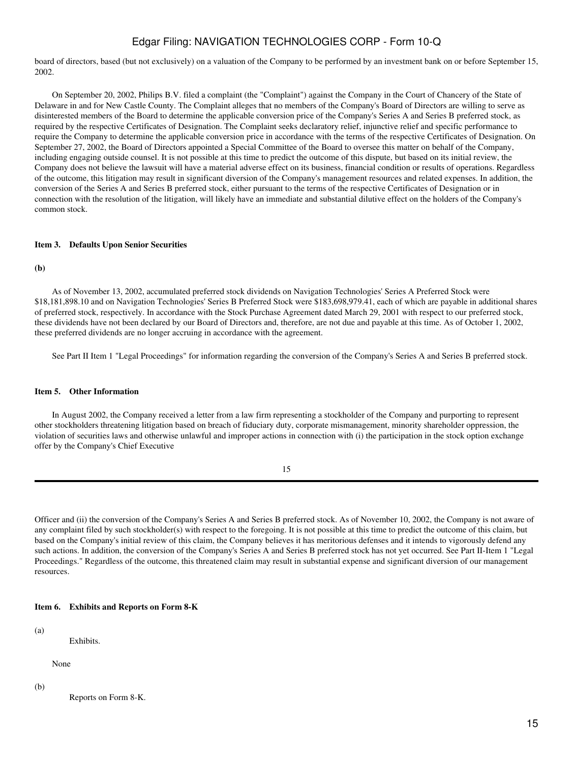board of directors, based (but not exclusively) on a valuation of the Company to be performed by an investment bank on or before September 15, 2002.

 On September 20, 2002, Philips B.V. filed a complaint (the "Complaint") against the Company in the Court of Chancery of the State of Delaware in and for New Castle County. The Complaint alleges that no members of the Company's Board of Directors are willing to serve as disinterested members of the Board to determine the applicable conversion price of the Company's Series A and Series B preferred stock, as required by the respective Certificates of Designation. The Complaint seeks declaratory relief, injunctive relief and specific performance to require the Company to determine the applicable conversion price in accordance with the terms of the respective Certificates of Designation. On September 27, 2002, the Board of Directors appointed a Special Committee of the Board to oversee this matter on behalf of the Company, including engaging outside counsel. It is not possible at this time to predict the outcome of this dispute, but based on its initial review, the Company does not believe the lawsuit will have a material adverse effect on its business, financial condition or results of operations. Regardless of the outcome, this litigation may result in significant diversion of the Company's management resources and related expenses. In addition, the conversion of the Series A and Series B preferred stock, either pursuant to the terms of the respective Certificates of Designation or in connection with the resolution of the litigation, will likely have an immediate and substantial dilutive effect on the holders of the Company's common stock.

#### <span id="page-14-0"></span>**Item 3. Defaults Upon Senior Securities**

**(b)**

 As of November 13, 2002, accumulated preferred stock dividends on Navigation Technologies' Series A Preferred Stock were \$18,181,898.10 and on Navigation Technologies' Series B Preferred Stock were \$183,698,979.41, each of which are payable in additional shares of preferred stock, respectively. In accordance with the Stock Purchase Agreement dated March 29, 2001 with respect to our preferred stock, these dividends have not been declared by our Board of Directors and, therefore, are not due and payable at this time. As of October 1, 2002, these preferred dividends are no longer accruing in accordance with the agreement.

See Part II Item 1 "Legal Proceedings" for information regarding the conversion of the Company's Series A and Series B preferred stock.

#### <span id="page-14-1"></span>**Item 5. Other Information**

 In August 2002, the Company received a letter from a law firm representing a stockholder of the Company and purporting to represent other stockholders threatening litigation based on breach of fiduciary duty, corporate mismanagement, minority shareholder oppression, the violation of securities laws and otherwise unlawful and improper actions in connection with (i) the participation in the stock option exchange offer by the Company's Chief Executive

| n sa         |
|--------------|
| I<br>I<br>۰. |

Officer and (ii) the conversion of the Company's Series A and Series B preferred stock. As of November 10, 2002, the Company is not aware of any complaint filed by such stockholder(s) with respect to the foregoing. It is not possible at this time to predict the outcome of this claim, but based on the Company's initial review of this claim, the Company believes it has meritorious defenses and it intends to vigorously defend any such actions. In addition, the conversion of the Company's Series A and Series B preferred stock has not yet occurred. See Part II-Item 1 "Legal Proceedings." Regardless of the outcome, this threatened claim may result in substantial expense and significant diversion of our management resources.

<span id="page-14-2"></span>**Item 6. Exhibits and Reports on Form 8-K**

(a)

Exhibits.

None

(b)

Reports on Form 8-K.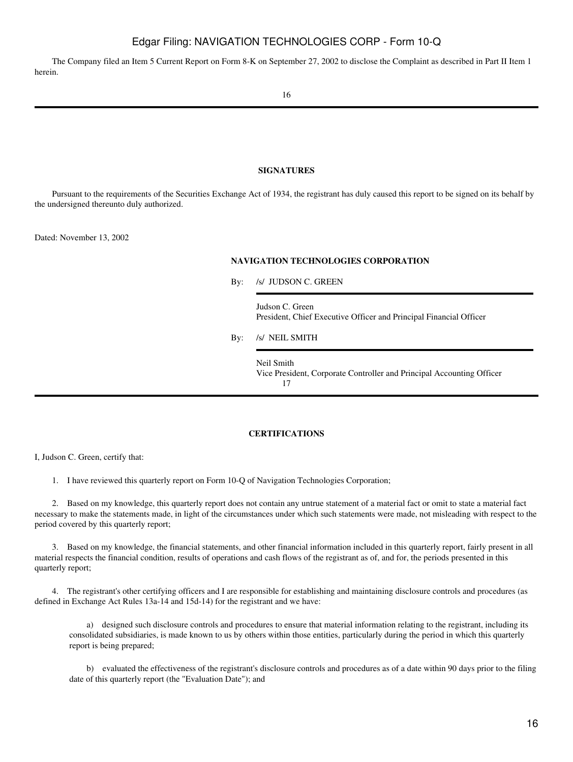The Company filed an Item 5 Current Report on Form 8-K on September 27, 2002 to disclose the Complaint as described in Part II Item 1 herein.

#### **SIGNATURES**

<span id="page-15-0"></span> Pursuant to the requirements of the Securities Exchange Act of 1934, the registrant has duly caused this report to be signed on its behalf by the undersigned thereunto duly authorized.

Dated: November 13, 2002

### **NAVIGATION TECHNOLOGIES CORPORATION**

By: /s/ JUDSON C. GREEN

Judson C. Green President, Chief Executive Officer and Principal Financial Officer

By: /s/ NEIL SMITH

Neil Smith Vice President, Corporate Controller and Principal Accounting Officer 17

### **CERTIFICATIONS**

<span id="page-15-1"></span>I, Judson C. Green, certify that:

1. I have reviewed this quarterly report on Form 10-Q of Navigation Technologies Corporation;

 2. Based on my knowledge, this quarterly report does not contain any untrue statement of a material fact or omit to state a material fact necessary to make the statements made, in light of the circumstances under which such statements were made, not misleading with respect to the period covered by this quarterly report;

 3. Based on my knowledge, the financial statements, and other financial information included in this quarterly report, fairly present in all material respects the financial condition, results of operations and cash flows of the registrant as of, and for, the periods presented in this quarterly report;

 4. The registrant's other certifying officers and I are responsible for establishing and maintaining disclosure controls and procedures (as defined in Exchange Act Rules 13a-14 and 15d-14) for the registrant and we have:

 a) designed such disclosure controls and procedures to ensure that material information relating to the registrant, including its consolidated subsidiaries, is made known to us by others within those entities, particularly during the period in which this quarterly report is being prepared;

 b) evaluated the effectiveness of the registrant's disclosure controls and procedures as of a date within 90 days prior to the filing date of this quarterly report (the "Evaluation Date"); and